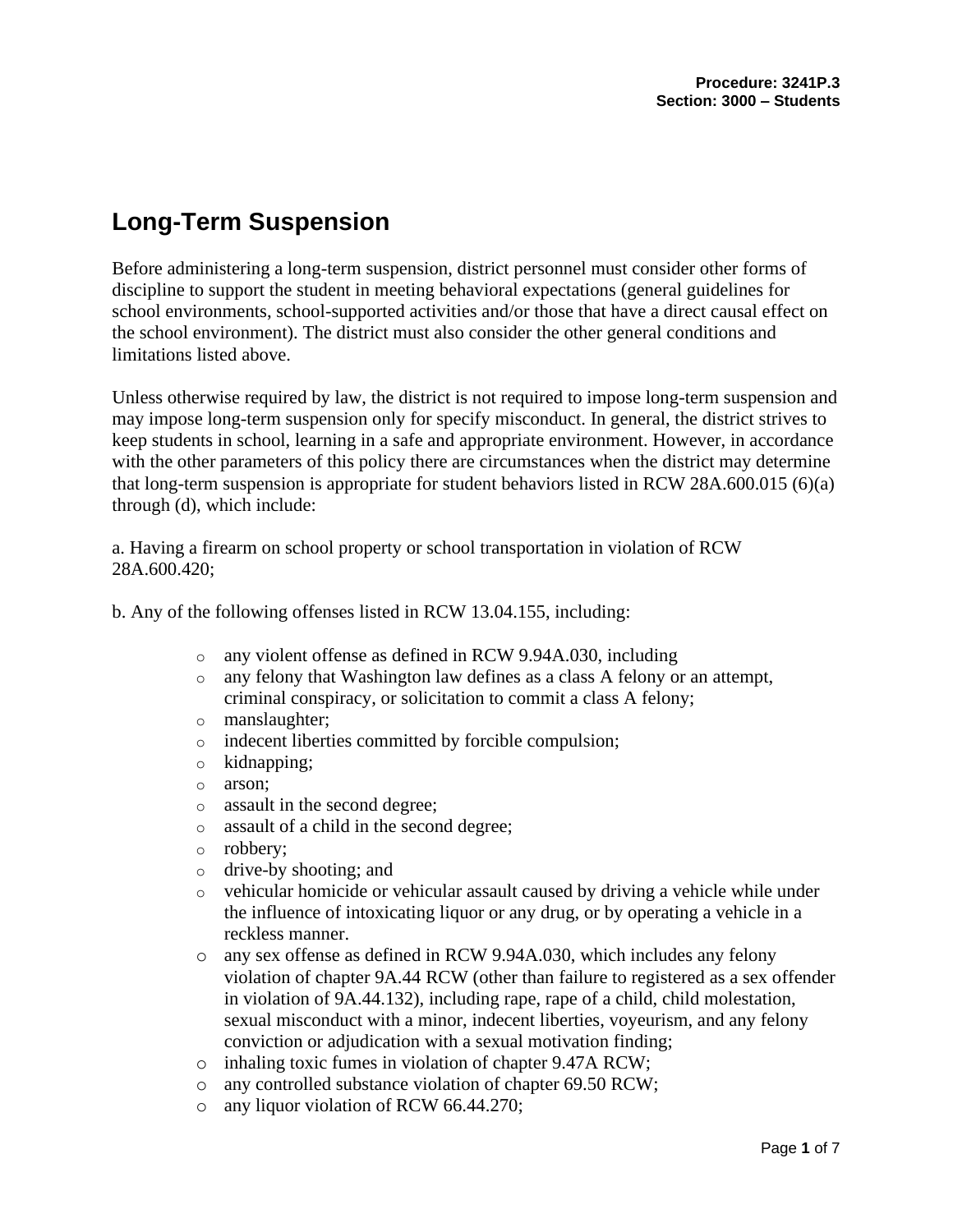# **Long-Term Suspension**

Before administering a long-term suspension, district personnel must consider other forms of discipline to support the student in meeting behavioral expectations (general guidelines for school environments, school-supported activities and/or those that have a direct causal effect on the school environment). The district must also consider the other general conditions and limitations listed above.

Unless otherwise required by law, the district is not required to impose long-term suspension and may impose long-term suspension only for specify misconduct. In general, the district strives to keep students in school, learning in a safe and appropriate environment. However, in accordance with the other parameters of this policy there are circumstances when the district may determine that long-term suspension is appropriate for student behaviors listed in RCW 28A.600.015 (6)(a) through (d), which include:

a. Having a firearm on school property or school transportation in violation of RCW 28A.600.420;

b. Any of the following offenses listed in RCW 13.04.155, including:

- o any violent offense as defined in RCW 9.94A.030, including
- o any felony that Washington law defines as a class A felony or an attempt, criminal conspiracy, or solicitation to commit a class A felony;
- o manslaughter;
- o indecent liberties committed by forcible compulsion;
- o kidnapping;
- o arson;
- o assault in the second degree;
- o assault of a child in the second degree;
- o robbery;
- o drive-by shooting; and
- $\circ$  vehicular homicide or vehicular assault caused by driving a vehicle while under the influence of intoxicating liquor or any drug, or by operating a vehicle in a reckless manner.
- o any sex offense as defined in RCW 9.94A.030, which includes any felony violation of chapter 9A.44 RCW (other than failure to registered as a sex offender in violation of 9A.44.132), including rape, rape of a child, child molestation, sexual misconduct with a minor, indecent liberties, voyeurism, and any felony conviction or adjudication with a sexual motivation finding;
- o inhaling toxic fumes in violation of chapter 9.47A RCW;
- o any controlled substance violation of chapter 69.50 RCW;
- o any liquor violation of RCW 66.44.270;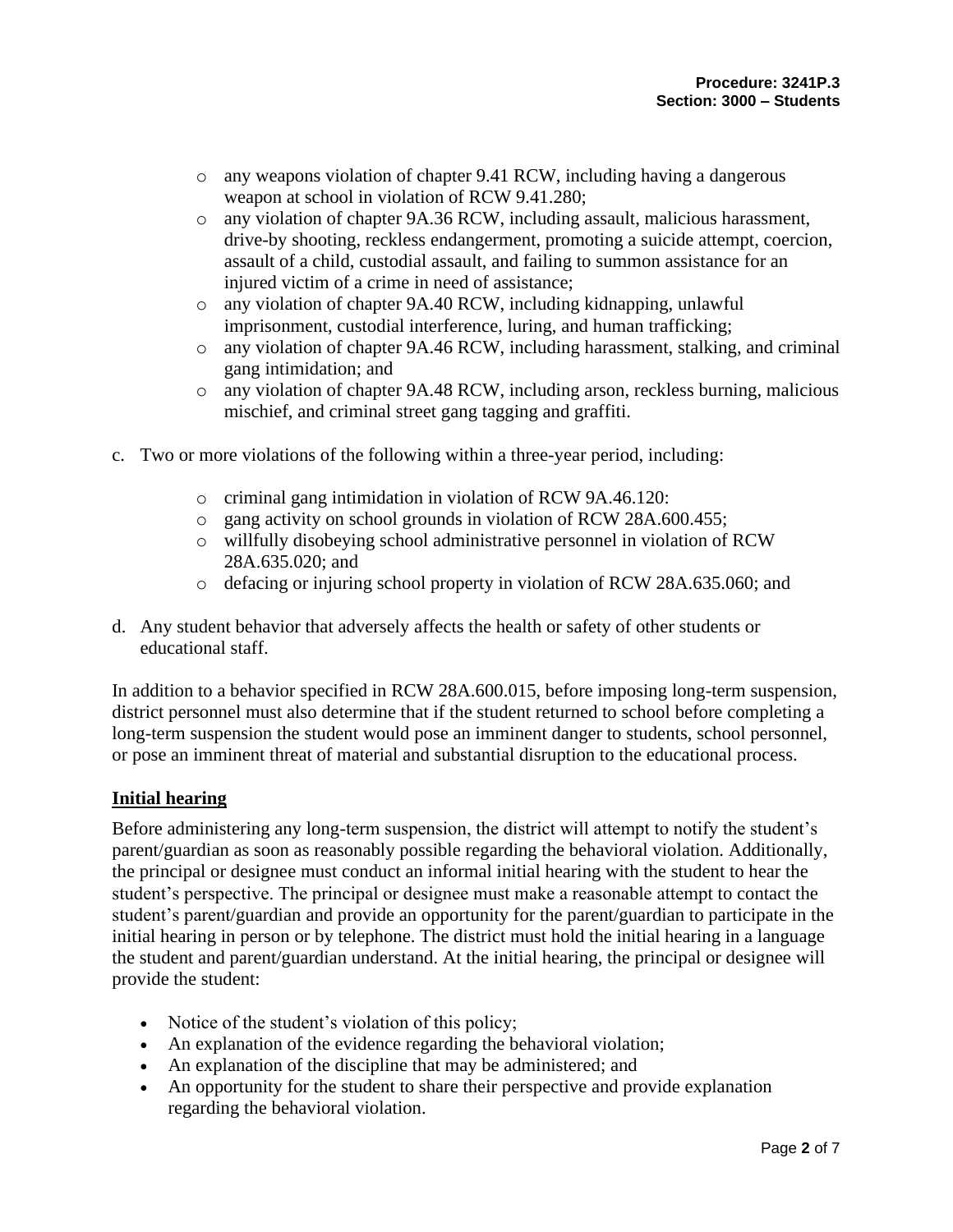- o any weapons violation of chapter 9.41 RCW, including having a dangerous weapon at school in violation of RCW 9.41.280;
- o any violation of chapter 9A.36 RCW, including assault, malicious harassment, drive-by shooting, reckless endangerment, promoting a suicide attempt, coercion, assault of a child, custodial assault, and failing to summon assistance for an injured victim of a crime in need of assistance;
- o any violation of chapter 9A.40 RCW, including kidnapping, unlawful imprisonment, custodial interference, luring, and human trafficking;
- o any violation of chapter 9A.46 RCW, including harassment, stalking, and criminal gang intimidation; and
- o any violation of chapter 9A.48 RCW, including arson, reckless burning, malicious mischief, and criminal street gang tagging and graffiti.
- c. Two or more violations of the following within a three-year period, including:
	- o criminal gang intimidation in violation of RCW 9A.46.120:
	- o gang activity on school grounds in violation of RCW 28A.600.455;
	- o willfully disobeying school administrative personnel in violation of RCW 28A.635.020; and
	- $\circ$  defacing or injuring school property in violation of RCW 28A.635.060; and
- d. Any student behavior that adversely affects the health or safety of other students or educational staff.

In addition to a behavior specified in RCW 28A.600.015, before imposing long-term suspension, district personnel must also determine that if the student returned to school before completing a long-term suspension the student would pose an imminent danger to students, school personnel, or pose an imminent threat of material and substantial disruption to the educational process.

#### **Initial hearing**

Before administering any long-term suspension, the district will attempt to notify the student's parent/guardian as soon as reasonably possible regarding the behavioral violation. Additionally, the principal or designee must conduct an informal initial hearing with the student to hear the student's perspective. The principal or designee must make a reasonable attempt to contact the student's parent/guardian and provide an opportunity for the parent/guardian to participate in the initial hearing in person or by telephone. The district must hold the initial hearing in a language the student and parent/guardian understand. At the initial hearing, the principal or designee will provide the student:

- Notice of the student's violation of this policy;
- An explanation of the evidence regarding the behavioral violation;
- An explanation of the discipline that may be administered; and
- An opportunity for the student to share their perspective and provide explanation regarding the behavioral violation.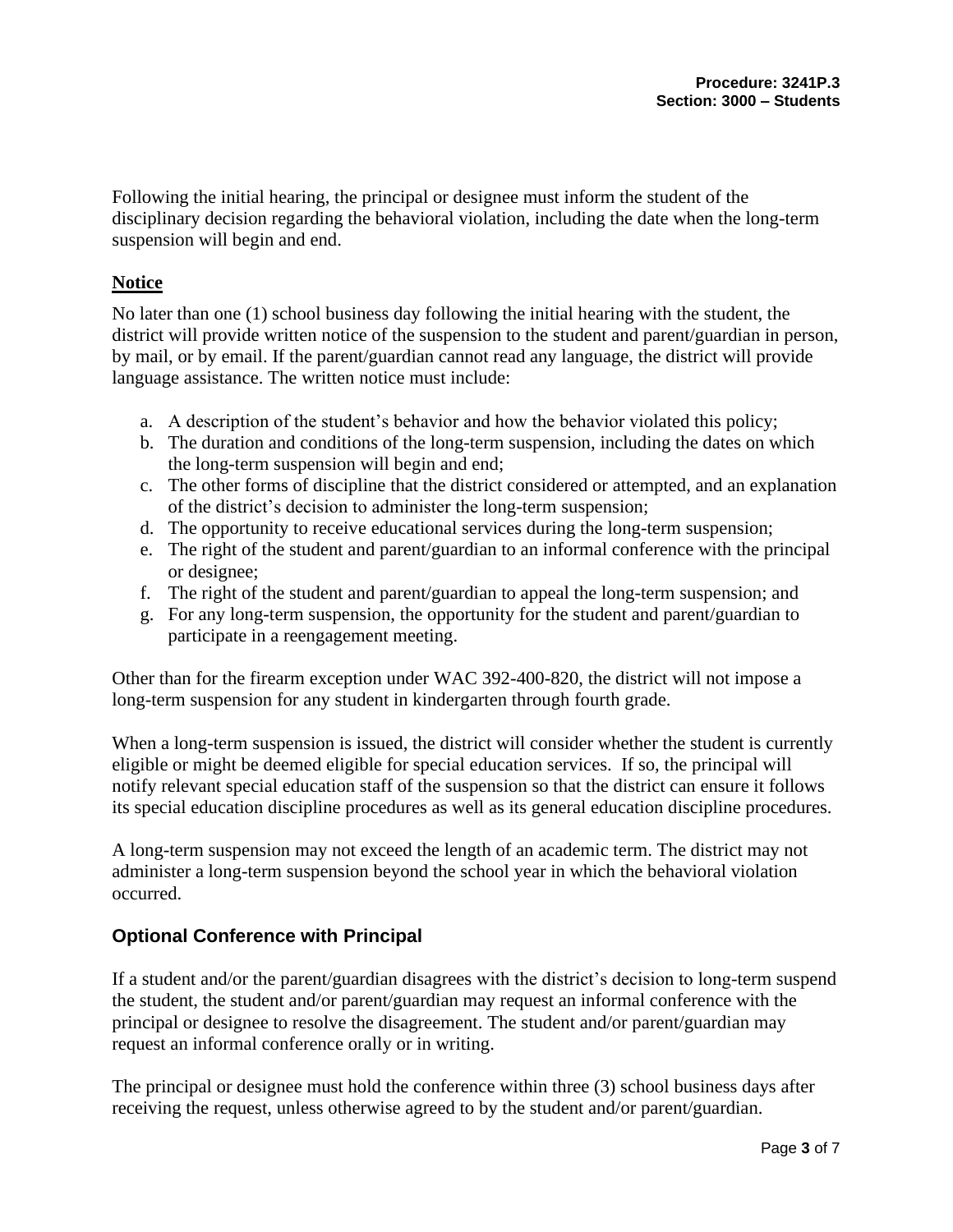Following the initial hearing, the principal or designee must inform the student of the disciplinary decision regarding the behavioral violation, including the date when the long-term suspension will begin and end.

### **Notice**

No later than one (1) school business day following the initial hearing with the student, the district will provide written notice of the suspension to the student and parent/guardian in person, by mail, or by email. If the parent/guardian cannot read any language, the district will provide language assistance. The written notice must include:

- a. A description of the student's behavior and how the behavior violated this policy;
- b. The duration and conditions of the long-term suspension, including the dates on which the long-term suspension will begin and end;
- c. The other forms of discipline that the district considered or attempted, and an explanation of the district's decision to administer the long-term suspension;
- d. The opportunity to receive educational services during the long-term suspension;
- e. The right of the student and parent/guardian to an informal conference with the principal or designee;
- f. The right of the student and parent/guardian to appeal the long-term suspension; and
- g. For any long-term suspension, the opportunity for the student and parent/guardian to participate in a reengagement meeting.

Other than for the firearm exception under WAC 392-400-820, the district will not impose a long-term suspension for any student in kindergarten through fourth grade.

When a long-term suspension is issued, the district will consider whether the student is currently eligible or might be deemed eligible for special education services. If so, the principal will notify relevant special education staff of the suspension so that the district can ensure it follows its special education discipline procedures as well as its general education discipline procedures.

A long-term suspension may not exceed the length of an academic term. The district may not administer a long-term suspension beyond the school year in which the behavioral violation occurred.

# **Optional Conference with Principal**

If a student and/or the parent/guardian disagrees with the district's decision to long-term suspend the student, the student and/or parent/guardian may request an informal conference with the principal or designee to resolve the disagreement. The student and/or parent/guardian may request an informal conference orally or in writing.

The principal or designee must hold the conference within three (3) school business days after receiving the request, unless otherwise agreed to by the student and/or parent/guardian.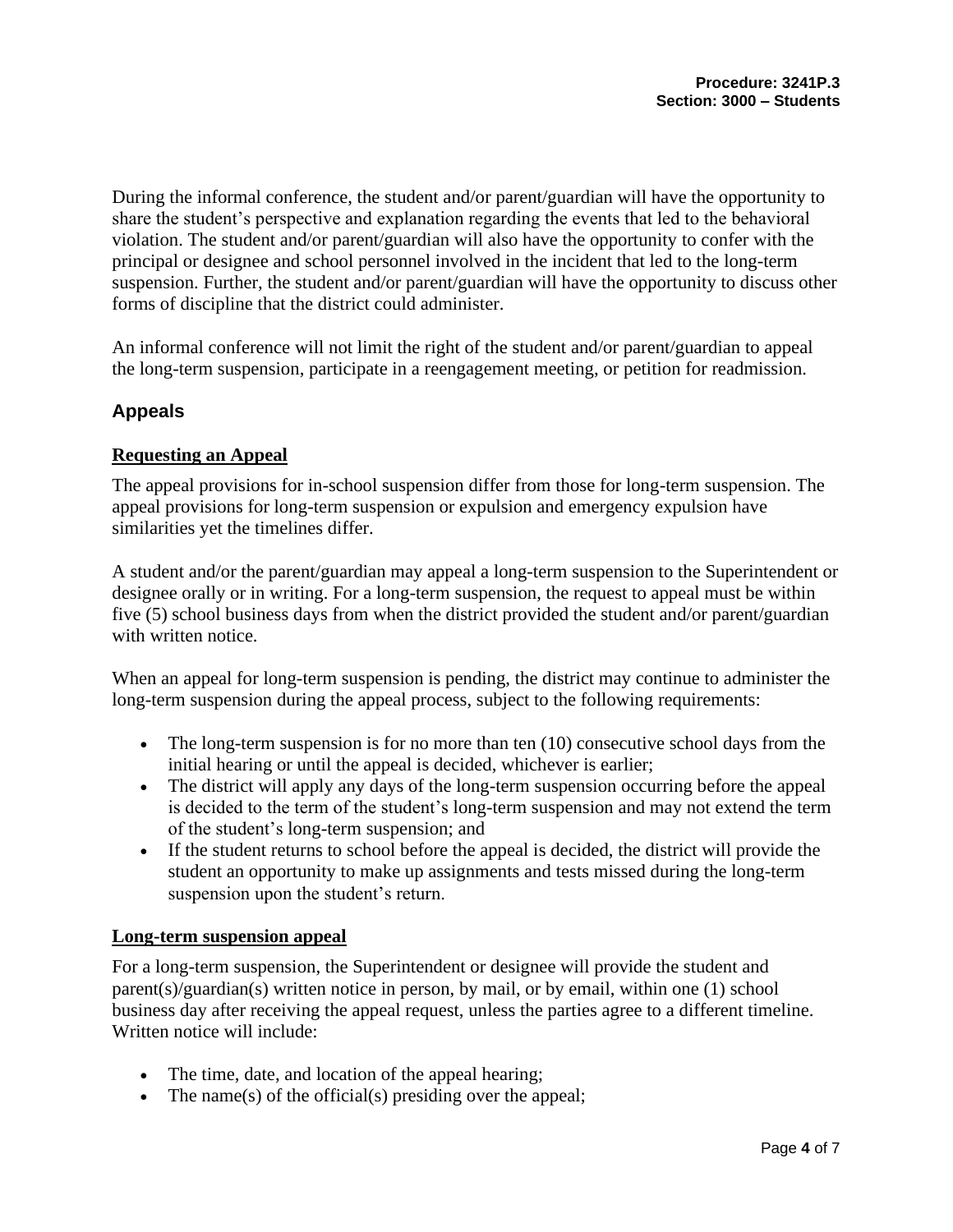During the informal conference, the student and/or parent/guardian will have the opportunity to share the student's perspective and explanation regarding the events that led to the behavioral violation. The student and/or parent/guardian will also have the opportunity to confer with the principal or designee and school personnel involved in the incident that led to the long-term suspension. Further, the student and/or parent/guardian will have the opportunity to discuss other forms of discipline that the district could administer.

An informal conference will not limit the right of the student and/or parent/guardian to appeal the long-term suspension, participate in a reengagement meeting, or petition for readmission.

# **Appeals**

#### **Requesting an Appeal**

The appeal provisions for in-school suspension differ from those for long-term suspension. The appeal provisions for long-term suspension or expulsion and emergency expulsion have similarities yet the timelines differ.

A student and/or the parent/guardian may appeal a long-term suspension to the Superintendent or designee orally or in writing. For a long-term suspension, the request to appeal must be within five (5) school business days from when the district provided the student and/or parent/guardian with written notice.

When an appeal for long-term suspension is pending, the district may continue to administer the long-term suspension during the appeal process, subject to the following requirements:

- The long-term suspension is for no more than ten (10) consecutive school days from the initial hearing or until the appeal is decided, whichever is earlier;
- The district will apply any days of the long-term suspension occurring before the appeal is decided to the term of the student's long-term suspension and may not extend the term of the student's long-term suspension; and
- If the student returns to school before the appeal is decided, the district will provide the student an opportunity to make up assignments and tests missed during the long-term suspension upon the student's return.

#### **Long-term suspension appeal**

For a long-term suspension, the Superintendent or designee will provide the student and parent(s)/guardian(s) written notice in person, by mail, or by email, within one (1) school business day after receiving the appeal request, unless the parties agree to a different timeline. Written notice will include:

- The time, date, and location of the appeal hearing;
- The name(s) of the official(s) presiding over the appeal;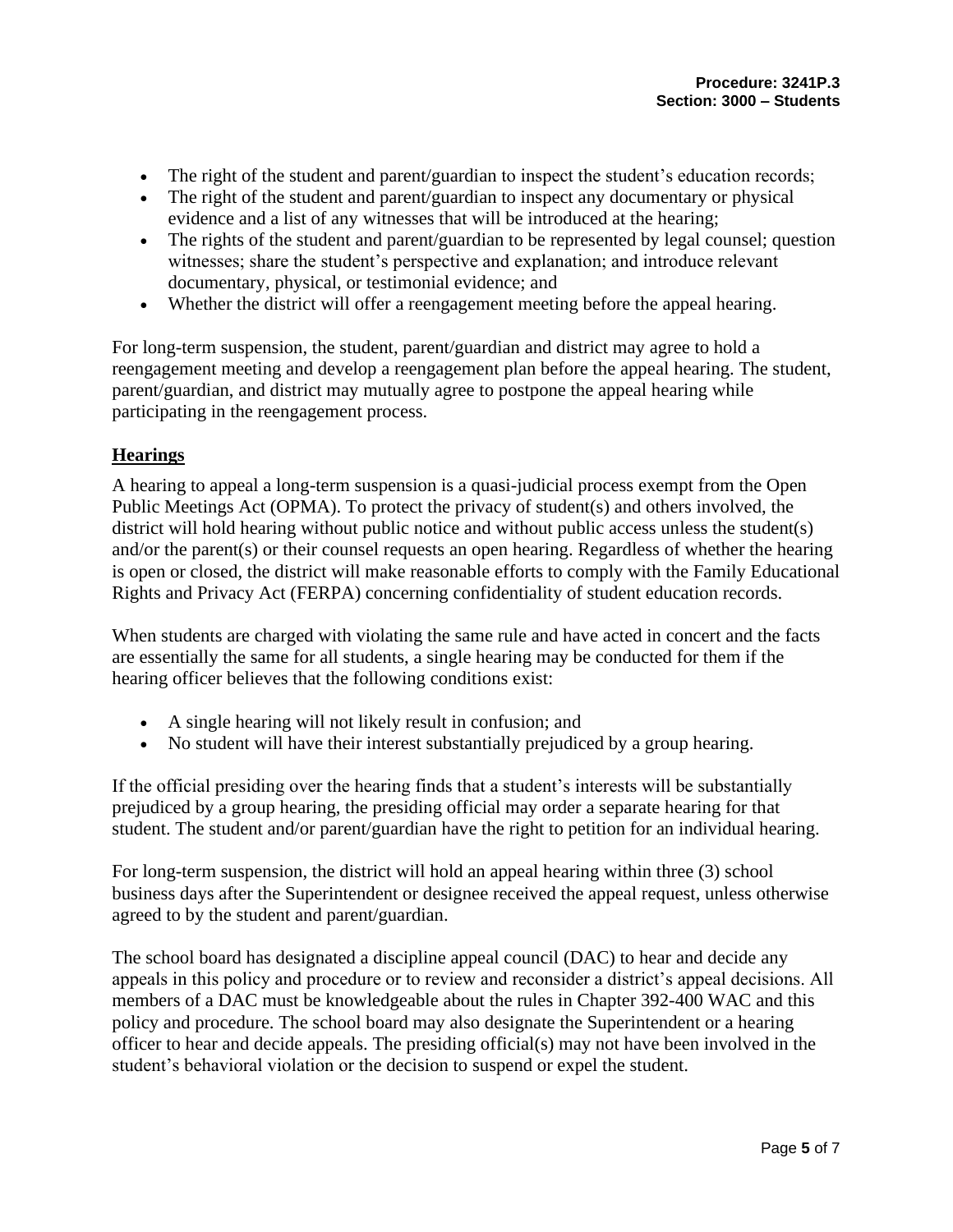- The right of the student and parent/guardian to inspect the student's education records;
- The right of the student and parent/guardian to inspect any documentary or physical evidence and a list of any witnesses that will be introduced at the hearing;
- The rights of the student and parent/guardian to be represented by legal counsel; question witnesses; share the student's perspective and explanation; and introduce relevant documentary, physical, or testimonial evidence; and
- Whether the district will offer a reengagement meeting before the appeal hearing.

For long-term suspension, the student, parent/guardian and district may agree to hold a reengagement meeting and develop a reengagement plan before the appeal hearing. The student, parent/guardian, and district may mutually agree to postpone the appeal hearing while participating in the reengagement process.

#### **Hearings**

A hearing to appeal a long-term suspension is a quasi-judicial process exempt from the Open Public Meetings Act (OPMA). To protect the privacy of student(s) and others involved, the district will hold hearing without public notice and without public access unless the student(s) and/or the parent(s) or their counsel requests an open hearing. Regardless of whether the hearing is open or closed, the district will make reasonable efforts to comply with the Family Educational Rights and Privacy Act (FERPA) concerning confidentiality of student education records.

When students are charged with violating the same rule and have acted in concert and the facts are essentially the same for all students, a single hearing may be conducted for them if the hearing officer believes that the following conditions exist:

- A single hearing will not likely result in confusion; and
- No student will have their interest substantially prejudiced by a group hearing.

If the official presiding over the hearing finds that a student's interests will be substantially prejudiced by a group hearing, the presiding official may order a separate hearing for that student. The student and/or parent/guardian have the right to petition for an individual hearing.

For long-term suspension, the district will hold an appeal hearing within three (3) school business days after the Superintendent or designee received the appeal request, unless otherwise agreed to by the student and parent/guardian.

The school board has designated a discipline appeal council (DAC) to hear and decide any appeals in this policy and procedure or to review and reconsider a district's appeal decisions. All members of a DAC must be knowledgeable about the rules in Chapter 392-400 WAC and this policy and procedure. The school board may also designate the Superintendent or a hearing officer to hear and decide appeals. The presiding official(s) may not have been involved in the student's behavioral violation or the decision to suspend or expel the student.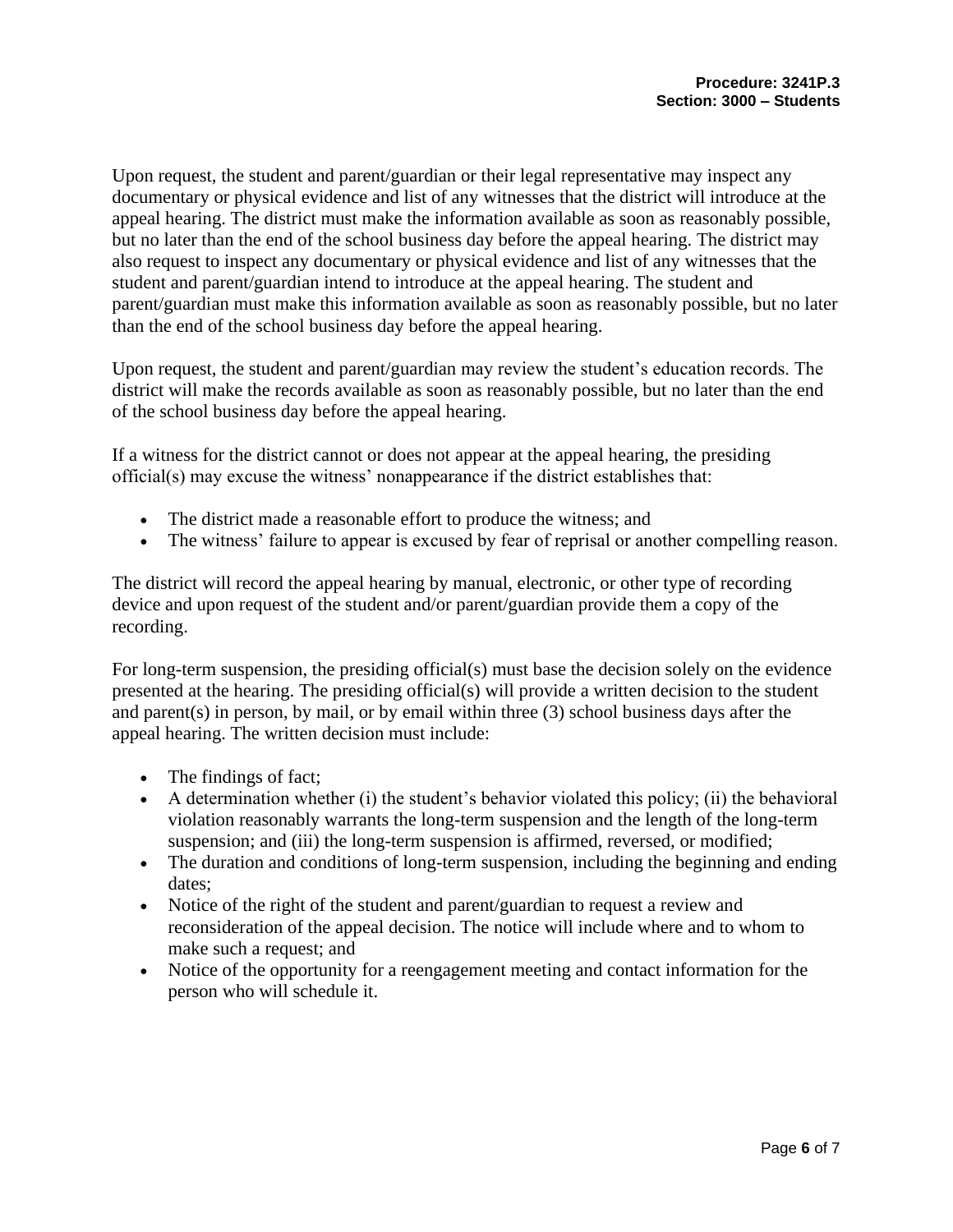Upon request, the student and parent/guardian or their legal representative may inspect any documentary or physical evidence and list of any witnesses that the district will introduce at the appeal hearing. The district must make the information available as soon as reasonably possible, but no later than the end of the school business day before the appeal hearing. The district may also request to inspect any documentary or physical evidence and list of any witnesses that the student and parent/guardian intend to introduce at the appeal hearing. The student and parent/guardian must make this information available as soon as reasonably possible, but no later than the end of the school business day before the appeal hearing.

Upon request, the student and parent/guardian may review the student's education records. The district will make the records available as soon as reasonably possible, but no later than the end of the school business day before the appeal hearing.

If a witness for the district cannot or does not appear at the appeal hearing, the presiding official(s) may excuse the witness' nonappearance if the district establishes that:

- The district made a reasonable effort to produce the witness; and
- The witness' failure to appear is excused by fear of reprisal or another compelling reason.

The district will record the appeal hearing by manual, electronic, or other type of recording device and upon request of the student and/or parent/guardian provide them a copy of the recording.

For long-term suspension, the presiding official(s) must base the decision solely on the evidence presented at the hearing. The presiding official(s) will provide a written decision to the student and parent(s) in person, by mail, or by email within three (3) school business days after the appeal hearing. The written decision must include:

- The findings of fact;
- A determination whether (i) the student's behavior violated this policy; (ii) the behavioral violation reasonably warrants the long-term suspension and the length of the long-term suspension; and (iii) the long-term suspension is affirmed, reversed, or modified;
- The duration and conditions of long-term suspension, including the beginning and ending dates;
- Notice of the right of the student and parent/guardian to request a review and reconsideration of the appeal decision. The notice will include where and to whom to make such a request; and
- Notice of the opportunity for a reengagement meeting and contact information for the person who will schedule it.